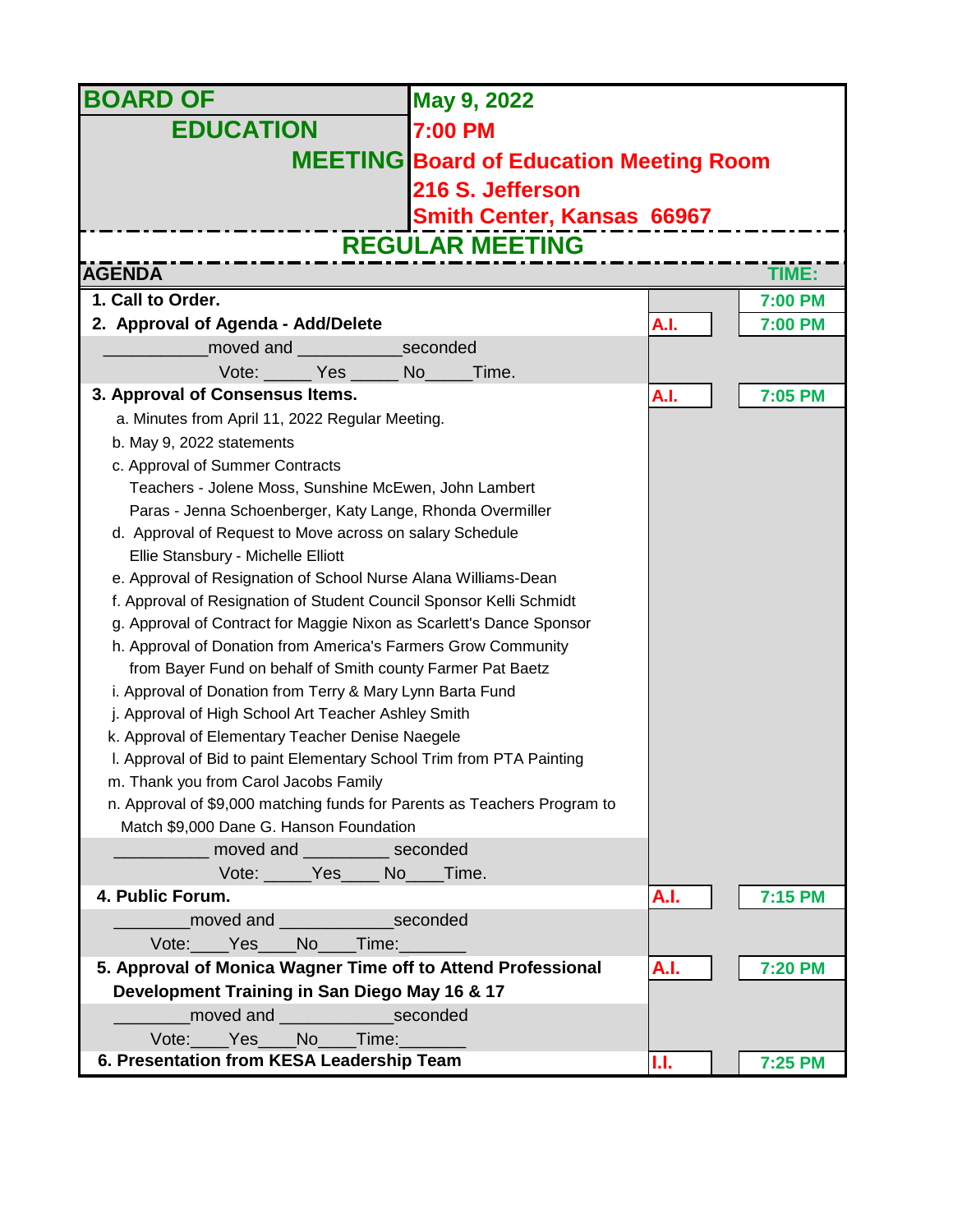| <b>BOARD OF</b>                                                                                               | May 9, 2022                                    |      |                |
|---------------------------------------------------------------------------------------------------------------|------------------------------------------------|------|----------------|
| <b>EDUCATION</b>                                                                                              | <b>7:00 PM</b>                                 |      |                |
|                                                                                                               | <b>MEETING Board of Education Meeting Room</b> |      |                |
|                                                                                                               | 216 S. Jefferson                               |      |                |
|                                                                                                               |                                                |      |                |
|                                                                                                               | <b>Smith Center, Kansas 66967</b>              |      |                |
|                                                                                                               | <b>REGULAR MEETING</b>                         |      |                |
| <b>AGENDA</b>                                                                                                 |                                                |      | TIME:          |
| 1. Call to Order.                                                                                             |                                                |      | 7:00 PM        |
| 2. Approval of Agenda - Add/Delete                                                                            |                                                | A.I. | 7:00 PM        |
| moved and seconded                                                                                            |                                                |      |                |
| Vote: Yes<br>No l<br>Time.                                                                                    |                                                |      |                |
| 3. Approval of Consensus Items.                                                                               |                                                | A.I. | 7:05 PM        |
| a. Minutes from April 11, 2022 Regular Meeting.                                                               |                                                |      |                |
| b. May 9, 2022 statements                                                                                     |                                                |      |                |
| c. Approval of Summer Contracts                                                                               |                                                |      |                |
| Teachers - Jolene Moss, Sunshine McEwen, John Lambert                                                         |                                                |      |                |
| Paras - Jenna Schoenberger, Katy Lange, Rhonda Overmiller                                                     |                                                |      |                |
| d. Approval of Request to Move across on salary Schedule                                                      |                                                |      |                |
| Ellie Stansbury - Michelle Elliott                                                                            |                                                |      |                |
| e. Approval of Resignation of School Nurse Alana Williams-Dean                                                |                                                |      |                |
| f. Approval of Resignation of Student Council Sponsor Kelli Schmidt                                           |                                                |      |                |
| g. Approval of Contract for Maggie Nixon as Scarlett's Dance Sponsor                                          |                                                |      |                |
| h. Approval of Donation from America's Farmers Grow Community                                                 |                                                |      |                |
| from Bayer Fund on behalf of Smith county Farmer Pat Baetz                                                    |                                                |      |                |
| i. Approval of Donation from Terry & Mary Lynn Barta Fund                                                     |                                                |      |                |
| j. Approval of High School Art Teacher Ashley Smith                                                           |                                                |      |                |
| k. Approval of Elementary Teacher Denise Naegele                                                              |                                                |      |                |
| I. Approval of Bid to paint Elementary School Trim from PTA Painting                                          |                                                |      |                |
| m. Thank you from Carol Jacobs Family                                                                         |                                                |      |                |
| n. Approval of \$9,000 matching funds for Parents as Teachers Program to                                      |                                                |      |                |
| Match \$9,000 Dane G. Hanson Foundation                                                                       |                                                |      |                |
| moved and __________ seconded<br>Vote: Yes No Time.                                                           |                                                |      |                |
| 4. Public Forum.                                                                                              |                                                |      |                |
|                                                                                                               |                                                | A.I. | 7:15 PM        |
| moved and _______________________seconded                                                                     |                                                |      |                |
| Vote: Yes No Time:                                                                                            |                                                |      |                |
| 5. Approval of Monica Wagner Time off to Attend Professional<br>Development Training in San Diego May 16 & 17 |                                                | A.I. | <b>7:20 PM</b> |
| moved and __________________seconded                                                                          |                                                |      |                |
| Vote: Yes No Time:                                                                                            |                                                |      |                |
| 6. Presentation from KESA Leadership Team                                                                     |                                                | IJ.  | 7:25 PM        |
|                                                                                                               |                                                |      |                |